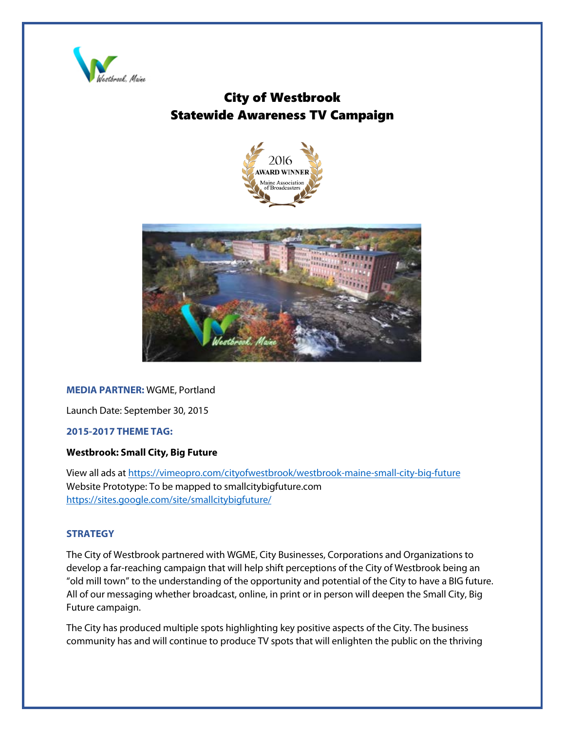

## City of Westbrook Statewide Awareness TV Campaign





## **MEDIA PARTNER:** WGME, Portland

Launch Date: September 30, 2015

## **2015-2017 THEME TAG:**

## **Westbrook: Small City, Big Future**

View all ads at<https://vimeopro.com/cityofwestbrook/westbrook-maine-small-city-big-future> Website Prototype: To be mapped to smallcitybigfuture.com <https://sites.google.com/site/smallcitybigfuture/>

## **STRATEGY**

The City of Westbrook partnered with WGME, City Businesses, Corporations and Organizations to develop a far-reaching campaign that will help shift perceptions of the City of Westbrook being an "old mill town" to the understanding of the opportunity and potential of the City to have a BIG future. All of our messaging whether broadcast, online, in print or in person will deepen the Small City, Big Future campaign.

The City has produced multiple spots highlighting key positive aspects of the City. The business community has and will continue to produce TV spots that will enlighten the public on the thriving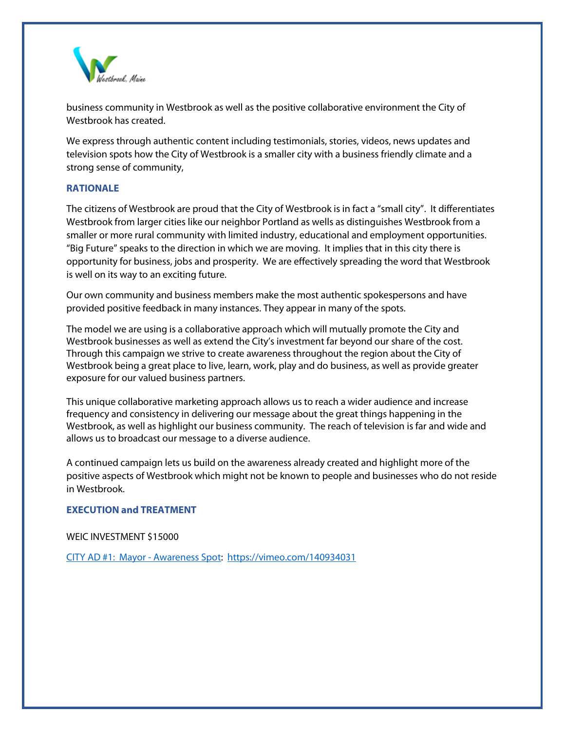

business community in Westbrook as well as the positive collaborative environment the City of Westbrook has created.

We express through authentic content including testimonials, stories, videos, news updates and television spots how the City of Westbrook is a smaller city with a business friendly climate and a strong sense of community,

## **RATIONALE**

The citizens of Westbrook are proud that the City of Westbrook is in fact a "small city". It differentiates Westbrook from larger cities like our neighbor Portland as wells as distinguishes Westbrook from a smaller or more rural community with limited industry, educational and employment opportunities. "Big Future" speaks to the direction in which we are moving. It implies that in this city there is opportunity for business, jobs and prosperity. We are effectively spreading the word that Westbrook is well on its way to an exciting future.

Our own community and business members make the most authentic spokespersons and have provided positive feedback in many instances. They appear in many of the spots.

The model we are using is a collaborative approach which will mutually promote the City and Westbrook businesses as well as extend the City's investment far beyond our share of the cost. Through this campaign we strive to create awareness throughout the region about the City of Westbrook being a great place to live, learn, work, play and do business, as well as provide greater exposure for our valued business partners.

This unique collaborative marketing approach allows us to reach a wider audience and increase frequency and consistency in delivering our message about the great things happening in the Westbrook, as well as highlight our business community. The reach of television is far and wide and allows us to broadcast our message to a diverse audience.

A continued campaign lets us build on the awareness already created and highlight more of the positive aspects of Westbrook which might not be known to people and businesses who do not reside in Westbrook.

## **EXECUTION and TREATMENT**

WEIC INVESTMENT \$15000

CITY AD [#1: Mayor -](https://vimeo.com/140934031) Awareness Spot:<https://vimeo.com/140934031>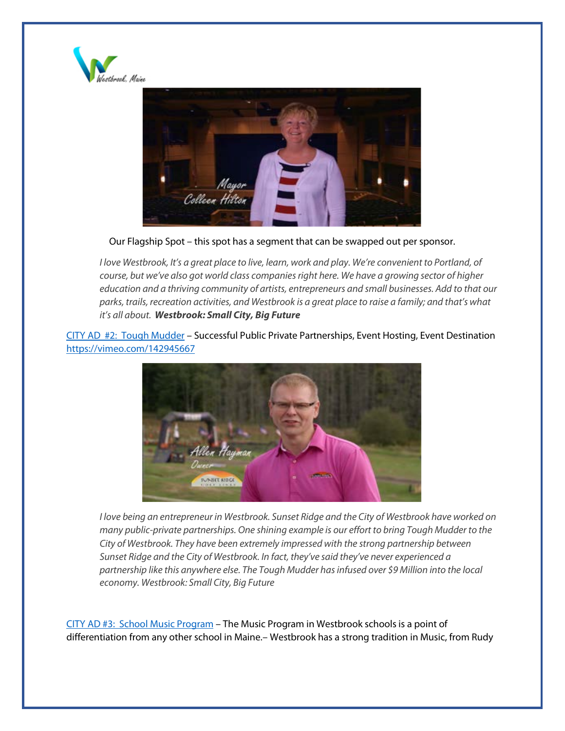



Our Flagship Spot – this spot has a segment that can be swapped out per sponsor.

*I love Westbrook, It's a great place to live, learn, work and play. We're convenient to Portland, of course, but we've also got world class companies right here. We have a growing sector of higher education and a thriving community of artists, entrepreneurs and small businesses. Add to that our parks, trails, recreation activities, and Westbrook is a great place to raise a family; and that's what it's all about. Westbrook: Small City, Big Future*

[CITY AD #2: Tough Mudder](https://vimeo.com/142945667) – Successful Public Private Partnerships, Event Hosting, Event Destination <https://vimeo.com/142945667>



*I love being an entrepreneur in Westbrook. Sunset Ridge and the City of Westbrook have worked on many public-private partnerships. One shining example is our effort to bring Tough Mudder to the City of Westbrook. They have been extremely impressed with the strong partnership between Sunset Ridge and the City of Westbrook. In fact, they've said they've never experienced a partnership like this anywhere else. The Tough Mudder has infused over \$9 Million into the local economy. Westbrook: Small City, Big Future*

CITY AD [#3: School Music Program](https://vimeo.com/174617592) – The Music Program in Westbrook schools is a point of differentiation from any other school in Maine.– Westbrook has a strong tradition in Music, from Rudy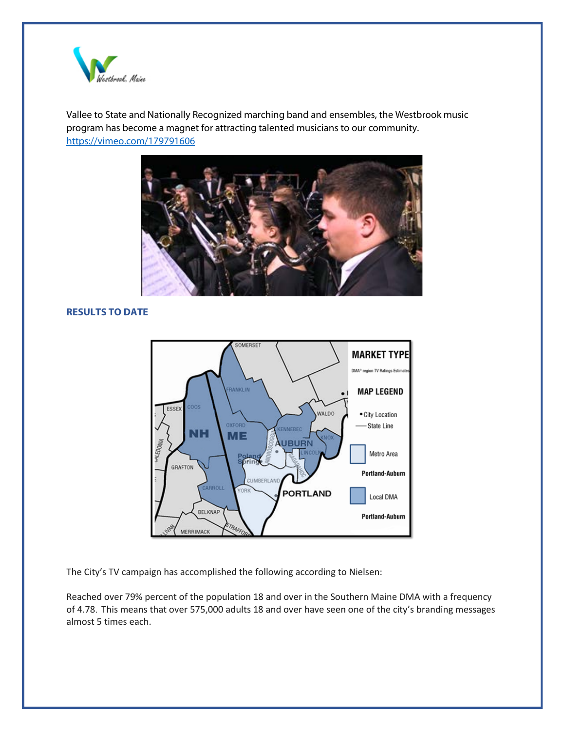

Vallee to State and Nationally Recognized marching band and ensembles, the Westbrook music program has become a magnet for attracting talented musicians to our community. <https://vimeo.com/179791606>



## **RESULTS TO DATE**



The City's TV campaign has accomplished the following according to Nielsen:

Reached over 79% percent of the population 18 and over in the Southern Maine DMA with a frequency of 4.78. This means that over 575,000 adults 18 and over have seen one of the city's branding messages almost 5 times each.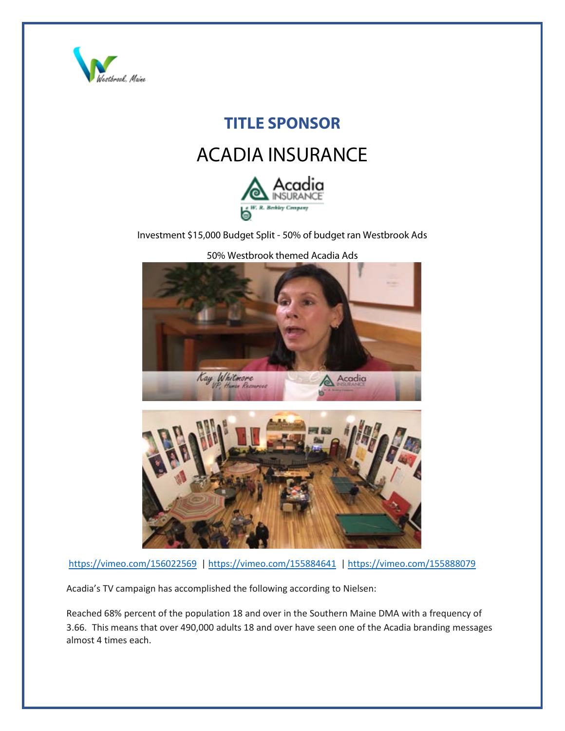

## **TITLE SPONSOR**

# ACADIA INSURANCE



Investment \$15,000 Budget Split - 50% of budget ran Westbrook Ads



50% Westbrook themed Acadia Ads

<https://vimeo.com/156022569>[| https://vimeo.com/155884641](https://vimeo.com/155884641) |<https://vimeo.com/155888079>

Acadia's TV campaign has accomplished the following according to Nielsen:

Reached 68% percent of the population 18 and over in the Southern Maine DMA with a frequency of 3.66. This means that over 490,000 adults 18 and over have seen one of the Acadia branding messages almost 4 times each.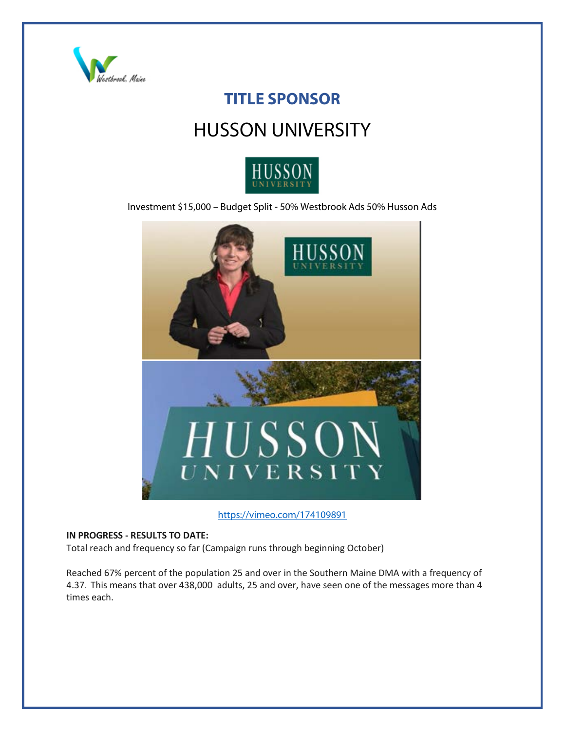

## **TITLE SPONSOR**

## HUSSON UNIVERSITY



Investment \$15,000 – Budget Split - 50% Westbrook Ads 50% Husson Ads



<https://vimeo.com/174109891>

#### **IN PROGRESS - RESULTS TO DATE:**

Total reach and frequency so far (Campaign runs through beginning October)

Reached 67% percent of the population 25 and over in the Southern Maine DMA with a frequency of 4.37. This means that over 438,000 adults, 25 and over, have seen one of the messages more than 4 times each.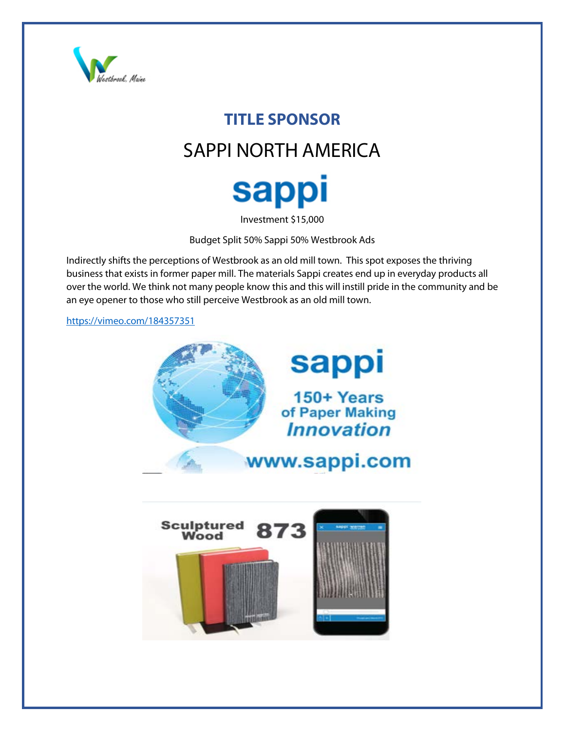

# **TITLE SPONSOR** SAPPI NORTH AMERICA **sappi**

Investment \$15,000

Budget Split 50% Sappi 50% Westbrook Ads

Indirectly shifts the perceptions of Westbrook as an old mill town. This spot exposes the thriving business that exists in former paper mill. The materials Sappi creates end up in everyday products all over the world. We think not many people know this and this will instill pride in the community and be an eye opener to those who still perceive Westbrook as an old mill town.

<https://vimeo.com/184357351>

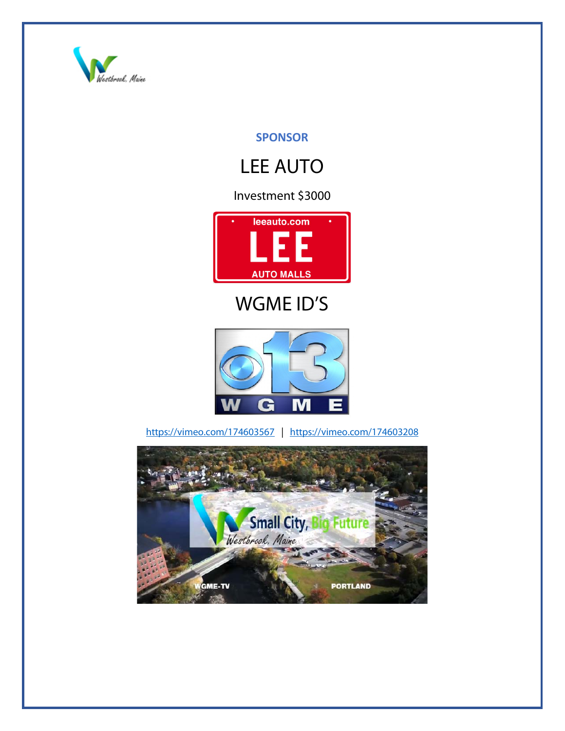

## **SPONSOR**

# LEE AUTO

## Investment \$3000



# WGME ID'S



<https://vimeo.com/174603567>| <https://vimeo.com/174603208>

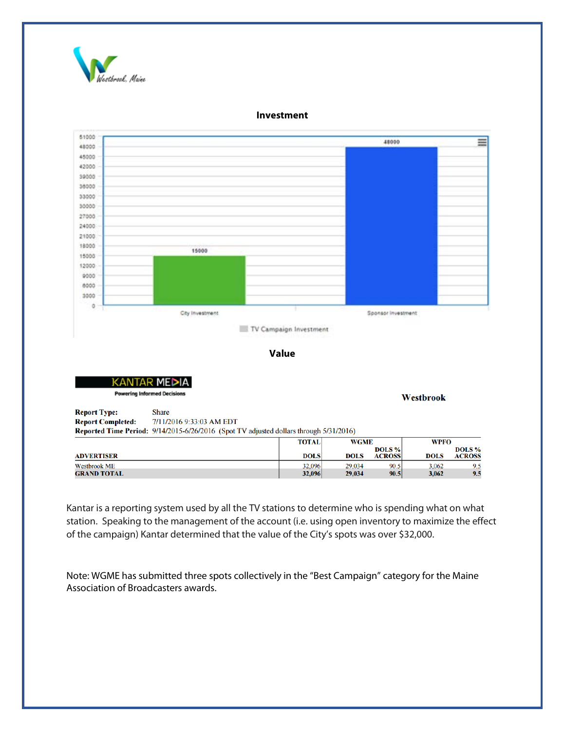

#### 51000 48000 ≡ 48000 45000 42000 39000 38000 33000 30000 27000 24000 21000 18000 15000 15000 12000 9000 8000 3000 ö City Investment Sponsor investment TV Campaign Investment

**Investment**

**Value**

NTAR MED **Powering Informed Decisions** 

Westbrook

**Report Type: Share Report Completed:** 7/11/2016 9:33:03 AM EDT Reported Time Period: 9/14/2015-6/26/2016 (Spot TV adjusted dollars through 5/31/2016)

|                     | <b>TOTAL</b> | <b>WGME</b> |                         | <b>WPFO</b> |                         |
|---------------------|--------------|-------------|-------------------------|-------------|-------------------------|
| <b>ADVERTISER</b>   | <b>DOLS</b>  | DOLS        | DOLS %<br><b>ACROSS</b> | <b>DOLS</b> | DOLS %<br><b>ACROSS</b> |
| <b>Westbrook ME</b> | 32,096       | 29.034      | 90.5                    | 3,062       | 9.5                     |
| <b>GRAND TOTAL</b>  | 32,096       | 29,034      | 90.5                    | 3,062       | 9.5                     |

Kantar is a reporting system used by all the TV stations to determine who is spending what on what station. Speaking to the management of the account (i.e. using open inventory to maximize the effect of the campaign) Kantar determined that the value of the City's spots was over \$32,000.

Note: WGME has submitted three spots collectively in the "Best Campaign" category for the Maine Association of Broadcasters awards.